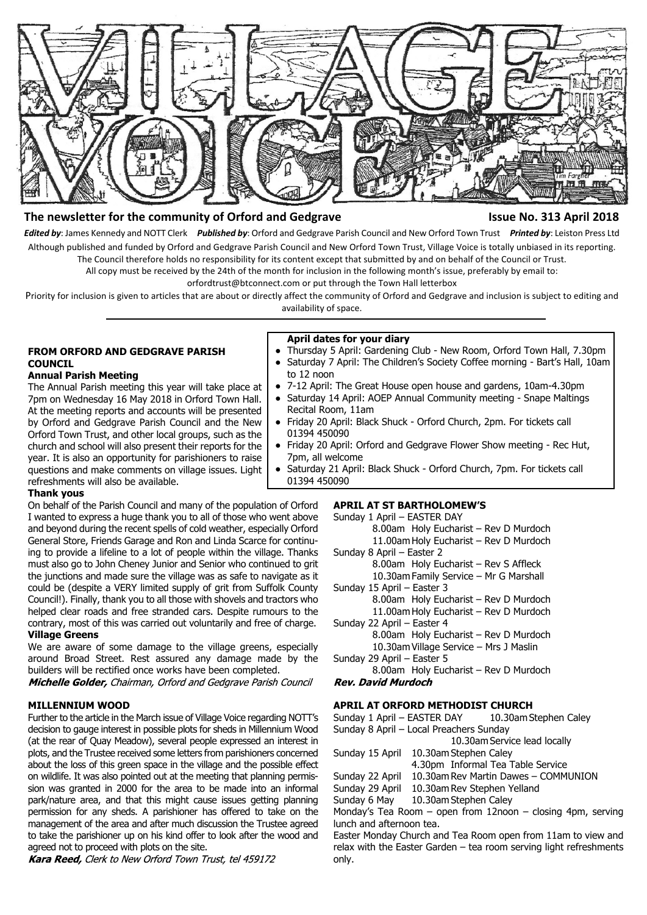

# **The newsletter for the community of Orford and Gedgrave Integral Community of Orford and Gedgrave Community of Struck April 2018**

*Edited by*: James Kennedy and NOTT Clerk *Published by*: Orford and Gedgrave Parish Council and New Orford Town Trust *Printed by*: Leiston Press Ltd Although published and funded by Orford and Gedgrave Parish Council and New Orford Town Trust, Village Voice is totally unbiased in its reporting. The Council therefore holds no responsibility for its content except that submitted by and on behalf of the Council or Trust.

All copy must be received by the 24th of the month for inclusion in the following month's issue, preferably by email to:

orfordtrust@btconnect.com or put through the Town Hall letterbox

Priority for inclusion is given to articles that are about or directly affect the community of Orford and Gedgrave and inclusion is subject to editing and availability of space.

# **FROM ORFORD AND GEDGRAVE PARISH COUNCIL**

# **Annual Parish Meeting**

The Annual Parish meeting this year will take place at 7pm on Wednesday 16 May 2018 in Orford Town Hall. At the meeting reports and accounts will be presented by Orford and Gedgrave Parish Council and the New Orford Town Trust, and other local groups, such as the church and school will also present their reports for the year. It is also an opportunity for parishioners to raise questions and make comments on village issues. Light refreshments will also be available.

# **April dates for your diary**

only.

- Thursday 5 April: Gardening Club New Room, Orford Town Hall, 7.30pm ● Saturday 7 April: The Children's Society Coffee morning - Bart's Hall, 10am
	- to 12 noon
- 7-12 April: The Great House open house and gardens, 10am-4.30pm
- Saturday 14 April: AOEP Annual Community meeting Snape Maltings Recital Room, 11am
- Friday 20 April: Black Shuck Orford Church, 2pm. For tickets call 01394 450090
- Friday 20 April: Orford and Gedgrave Flower Show meeting Rec Hut, 7pm, all welcome
- Saturday 21 April: Black Shuck Orford Church, 7pm. For tickets call 01394 450090

#### **Thank yous**

On behalf of the Parish Council and many of the population of Orford I wanted to express a huge thank you to all of those who went above and beyond during the recent spells of cold weather, especially Orford General Store, Friends Garage and Ron and Linda Scarce for continuing to provide a lifeline to a lot of people within the village. Thanks must also go to John Cheney Junior and Senior who continued to grit the junctions and made sure the village was as safe to navigate as it could be (despite a VERY limited supply of grit from Suffolk County Council!). Finally, thank you to all those with shovels and tractors who helped clear roads and free stranded cars. Despite rumours to the contrary, most of this was carried out voluntarily and free of charge. **Village Greens**

We are aware of some damage to the village greens, especially around Broad Street. Rest assured any damage made by the builders will be rectified once works have been completed.

Michelle Golder, Chairman, Orford and Gedgrave Parish Council

#### **MILLENNIUM WOOD**

Further to the article in the March issue of Village Voice regarding NOTT's decision to gauge interest in possible plots for sheds in Millennium Wood (at the rear of Quay Meadow), several people expressed an interest in plots, and the Trustee received some letters from parishioners concerned about the loss of this green space in the village and the possible effect on wildlife. It was also pointed out at the meeting that planning permission was granted in 2000 for the area to be made into an informal park/nature area, and that this might cause issues getting planning permission for any sheds. A parishioner has offered to take on the management of the area and after much discussion the Trustee agreed to take the parishioner up on his kind offer to look after the wood and agreed not to proceed with plots on the site.

Kara Reed, Clerk to New Orford Town Trust, tel 459172

# **APRIL AT ST BARTHOLOMEW'S**

Sunday 1 April – EASTER DAY 8.00am Holy Eucharist – Rev D Murdoch 11.00am Holy Eucharist – Rev D Murdoch Sunday 8 April – Easter 2 8.00am Holy Eucharist – Rev S Affleck 10.30am Family Service – Mr G Marshall Sunday 15 April – Easter 3 8.00am Holy Eucharist – Rev D Murdoch 11.00am Holy Eucharist – Rev D Murdoch Sunday 22 April – Easter 4 8.00am Holy Eucharist – Rev D Murdoch 10.30am Village Service – Mrs J Maslin Sunday 29 April – Easter 5 8.00am Holy Eucharist – Rev D Murdoch **Rev. David Murdoch APRIL AT ORFORD METHODIST CHURCH**

Sunday 1 April – EASTER DAY 10.30am Stephen Caley Sunday 8 April – Local Preachers Sunday 10.30am Service lead locally Sunday 15 April 10.30am Stephen Caley 4.30pm Informal Tea Table Service Sunday 22 April 10.30am Rev Martin Dawes – COMMUNION Sunday 29 April 10.30am Rev Stephen Yelland Sunday 6 May 10.30am Stephen Caley Monday's Tea Room – open from 12noon – closing 4pm, serving lunch and afternoon tea. Easter Monday Church and Tea Room open from 11am to view and relax with the Easter Garden – tea room serving light refreshments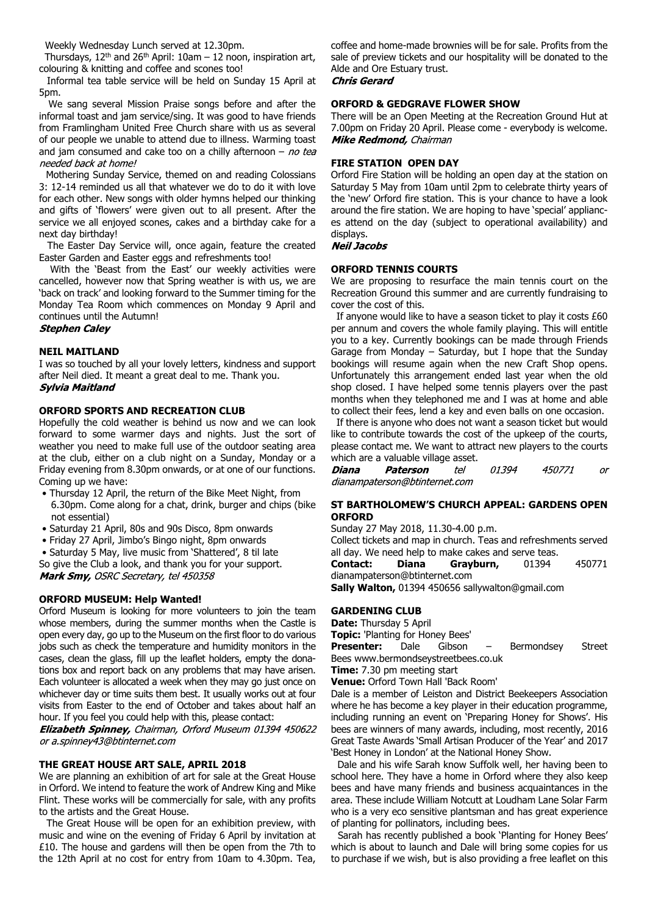Weekly Wednesday Lunch served at 12.30pm.

Thursdays,  $12<sup>th</sup>$  and  $26<sup>th</sup>$  April:  $10am - 12$  noon, inspiration art, colouring & knitting and coffee and scones too!

 Informal tea table service will be held on Sunday 15 April at 5pm.

 We sang several Mission Praise songs before and after the informal toast and jam service/sing. It was good to have friends from Framlingham United Free Church share with us as several of our people we unable to attend due to illness. Warming toast and jam consumed and cake too on a chilly afternoon  $-$  no tea needed back at home!

 Mothering Sunday Service, themed on and reading Colossians 3: 12-14 reminded us all that whatever we do to do it with love for each other. New songs with older hymns helped our thinking and gifts of 'flowers' were given out to all present. After the service we all enjoyed scones, cakes and a birthday cake for a next day birthday!

 The Easter Day Service will, once again, feature the created Easter Garden and Easter eggs and refreshments too!

 With the 'Beast from the East' our weekly activities were cancelled, however now that Spring weather is with us, we are 'back on track' and looking forward to the Summer timing for the Monday Tea Room which commences on Monday 9 April and continues until the Autumn!

#### **Stephen Calev**

# **NEIL MAITLAND**

I was so touched by all your lovely letters, kindness and support after Neil died. It meant a great deal to me. Thank you. **Sylvia Maitland** 

### **ORFORD SPORTS AND RECREATION CLUB**

Hopefully the cold weather is behind us now and we can look forward to some warmer days and nights. Just the sort of weather you need to make full use of the outdoor seating area at the club, either on a club night on a Sunday, Monday or a Friday evening from 8.30pm onwards, or at one of our functions. Coming up we have:

- Thursday 12 April, the return of the Bike Meet Night, from
- 6.30pm. Come along for a chat, drink, burger and chips (bike not essential)
- Saturday 21 April, 80s and 90s Disco, 8pm onwards
- Friday 27 April, Jimbo's Bingo night, 8pm onwards

 • Saturday 5 May, live music from 'Shattered', 8 til late So give the Club a look, and thank you for your support.

Mark Smy, OSRC Secretary, tel 450358

# **ORFORD MUSEUM: Help Wanted!**

Orford Museum is looking for more volunteers to join the team whose members, during the summer months when the Castle is open every day, go up to the Museum on the first floor to do various jobs such as check the temperature and humidity monitors in the cases, clean the glass, fill up the leaflet holders, empty the donations box and report back on any problems that may have arisen. Each volunteer is allocated a week when they may go just once on whichever day or time suits them best. It usually works out at four visits from Easter to the end of October and takes about half an hour. If you feel you could help with this, please contact:

Elizabeth Spinney, Chairman, Orford Museum 01394 450622 or a.spinney43@btinternet.com

#### **THE GREAT HOUSE ART SALE, APRIL 2018**

We are planning an exhibition of art for sale at the Great House in Orford. We intend to feature the work of Andrew King and Mike Flint. These works will be commercially for sale, with any profits to the artists and the Great House.

 The Great House will be open for an exhibition preview, with music and wine on the evening of Friday 6 April by invitation at £10. The house and gardens will then be open from the 7th to the 12th April at no cost for entry from 10am to 4.30pm. Tea,

coffee and home-made brownies will be for sale. Profits from the sale of preview tickets and our hospitality will be donated to the Alde and Ore Estuary trust. **Chris Gerard** 

### **ORFORD & GEDGRAVE FLOWER SHOW**

There will be an Open Meeting at the Recreation Ground Hut at 7.00pm on Friday 20 April. Please come - everybody is welcome. Mike Redmond, Chairman

## **FIRE STATION OPEN DAY**

Orford Fire Station will be holding an open day at the station on Saturday 5 May from 10am until 2pm to celebrate thirty years of the 'new' Orford fire station. This is your chance to have a look around the fire station. We are hoping to have 'special' appliances attend on the day (subject to operational availability) and displays.

#### **Neil Jacobs**

#### **ORFORD TENNIS COURTS**

We are proposing to resurface the main tennis court on the Recreation Ground this summer and are currently fundraising to cover the cost of this.

 If anyone would like to have a season ticket to play it costs £60 per annum and covers the whole family playing. This will entitle you to a key. Currently bookings can be made through Friends Garage from Monday – Saturday, but I hope that the Sunday bookings will resume again when the new Craft Shop opens. Unfortunately this arrangement ended last year when the old shop closed. I have helped some tennis players over the past months when they telephoned me and I was at home and able to collect their fees, lend a key and even balls on one occasion.

 If there is anyone who does not want a season ticket but would like to contribute towards the cost of the upkeep of the courts, please contact me. We want to attract new players to the courts which are a valuable village asset.

Diana **Paterson** tel 01394 450771 or dianampaterson@btinternet.com

### **ST BARTHOLOMEW'S CHURCH APPEAL: GARDENS OPEN ORFORD**

Sunday 27 May 2018, 11.30-4.00 p.m.

Collect tickets and map in church. Teas and refreshments served all day. We need help to make cakes and serve teas.

**Contact: Diana Grayburn,** 01394 450771 dianampaterson@btinternet.com

**Sally Walton,** 01394 450656 sallywalton@gmail.com

#### **GARDENING CLUB**

#### **Date:** Thursday 5 April

**Topic:** 'Planting for Honey Bees'

**Presenter:** Dale Gibson – Bermondsey Street Bees www.bermondseystreetbees.co.uk

**Time:** 7.30 pm meeting start

**Venue:** Orford Town Hall 'Back Room'

Dale is a member of Leiston and District Beekeepers Association where he has become a key player in their education programme, including running an event on 'Preparing Honey for Shows'. His bees are winners of many awards, including, most recently, 2016 Great Taste Awards 'Small Artisan Producer of the Year' and 2017 'Best Honey in London' at the National Honey Show.

 Dale and his wife Sarah know Suffolk well, her having been to school here. They have a home in Orford where they also keep bees and have many friends and business acquaintances in the area. These include William Notcutt at Loudham Lane Solar Farm who is a very eco sensitive plantsman and has great experience of planting for pollinators, including bees.

 Sarah has recently published a book 'Planting for Honey Bees' which is about to launch and Dale will bring some copies for us to purchase if we wish, but is also providing a free leaflet on this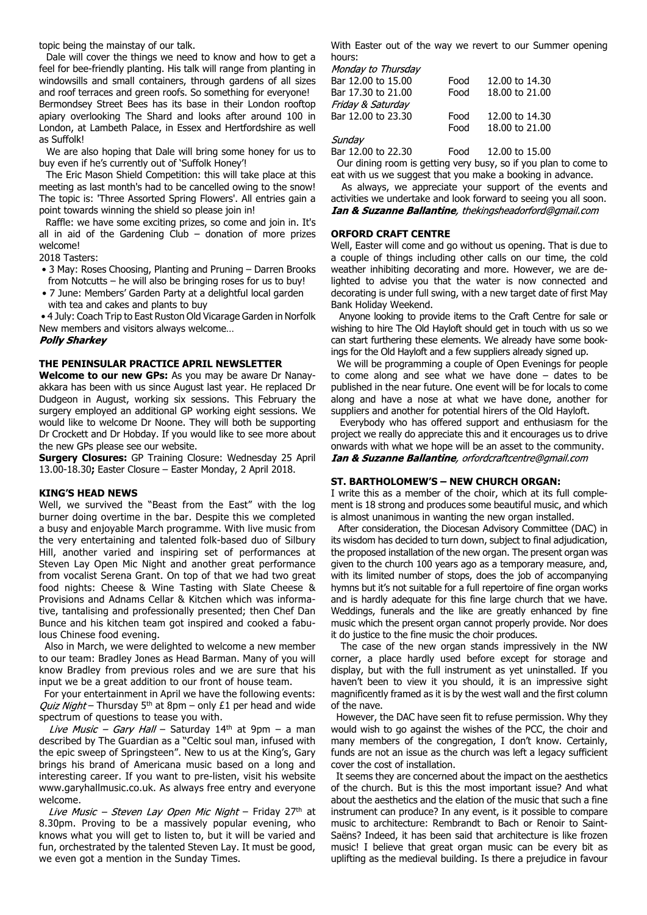topic being the mainstay of our talk.

 Dale will cover the things we need to know and how to get a feel for bee-friendly planting. His talk will range from planting in windowsills and small containers, through gardens of all sizes and roof terraces and green roofs. So something for everyone! Bermondsey Street Bees has its base in their London rooftop apiary overlooking The Shard and looks after around 100 in London, at Lambeth Palace, in Essex and Hertfordshire as well as Suffolk!

 We are also hoping that Dale will bring some honey for us to buy even if he's currently out of 'Suffolk Honey'!

 The Eric Mason Shield Competition: this will take place at this meeting as last month's had to be cancelled owing to the snow! The topic is: 'Three Assorted Spring Flowers'. All entries gain a point towards winning the shield so please join in!

 Raffle: we have some exciting prizes, so come and join in. It's all in aid of the Gardening Club  $-$  donation of more prizes welcome!

2018 Tasters:

- 3 May: Roses Choosing, Planting and Pruning Darren Brooks from Notcutts – he will also be bringing roses for us to buy!
- 7 June: Members' Garden Party at a delightful local garden with tea and cakes and plants to buy

 • 4 July: Coach Trip to East Ruston Old Vicarage Garden in Norfolk New members and visitors always welcome…

#### **Polly Sharkey**

### **THE PENINSULAR PRACTICE APRIL NEWSLETTER**

**Welcome to our new GPs:** As you may be aware Dr Nanayakkara has been with us since August last year. He replaced Dr Dudgeon in August, working six sessions. This February the surgery employed an additional GP working eight sessions. We would like to welcome Dr Noone. They will both be supporting Dr Crockett and Dr Hobday. If you would like to see more about the new GPs please see our website.

**Surgery Closures:** GP Training Closure: Wednesday 25 April 13.00-18.30**;** Easter Closure – Easter Monday, 2 April 2018.

#### **KING'S HEAD NEWS**

Well, we survived the "Beast from the East" with the log burner doing overtime in the bar. Despite this we completed a busy and enjoyable March programme. With live music from the very entertaining and talented folk-based duo of Silbury Hill, another varied and inspiring set of performances at Steven Lay Open Mic Night and another great performance from vocalist Serena Grant. On top of that we had two great food nights: Cheese & Wine Tasting with Slate Cheese & Provisions and Adnams Cellar & Kitchen which was informative, tantalising and professionally presented; then Chef Dan Bunce and his kitchen team got inspired and cooked a fabulous Chinese food evening.

 Also in March, we were delighted to welcome a new member to our team: Bradley Jones as Head Barman. Many of you will know Bradley from previous roles and we are sure that his input we be a great addition to our front of house team.

 For your entertainment in April we have the following events: Quiz Night – Thursday 5<sup>th</sup> at 8pm – only £1 per head and wide spectrum of questions to tease you with.

Live Music – Gary Hall – Saturday 14th at 9pm – a man described by The Guardian as a "Celtic soul man, infused with the epic sweep of Springsteen". New to us at the King's, Gary brings his brand of Americana music based on a long and interesting career. If you want to pre-listen, visit his website www.garyhallmusic.co.uk. As always free entry and everyone welcome.

Live Music - Steven Lay Open Mic Night - Friday 27th at 8.30pm. Proving to be a massively popular evening, who knows what you will get to listen to, but it will be varied and fun, orchestrated by the talented Steven Lay. It must be good, we even got a mention in the Sunday Times.

With Easter out of the way we revert to our Summer opening hours:<br>Monday to Thursday

| ,,,,,,,,,,,,,,,,,,,,,,, |      |                |
|-------------------------|------|----------------|
| Bar 12.00 to 15.00      | Food | 12,00 to 14.30 |
| Bar 17.30 to 21.00      | Food | 18,00 to 21,00 |
| Friday & Saturday       |      |                |
| Bar 12.00 to 23.30      | Food | 12.00 to 14.30 |
|                         | Food | 18,00 to 21,00 |
| Sundav                  |      |                |

Bar 12.00 to 22.30 Food 12.00 to 15.00

 Our dining room is getting very busy, so if you plan to come to eat with us we suggest that you make a booking in advance.

 As always, we appreciate your support of the events and activities we undertake and look forward to seeing you all soon. **Ian & Suzanne Ballantine**, thekingsheadorford@gmail.com

#### **ORFORD CRAFT CENTRE**

Well, Easter will come and go without us opening. That is due to a couple of things including other calls on our time, the cold weather inhibiting decorating and more. However, we are delighted to advise you that the water is now connected and decorating is under full swing, with a new target date of first May Bank Holiday Weekend.

 Anyone looking to provide items to the Craft Centre for sale or wishing to hire The Old Hayloft should get in touch with us so we can start furthering these elements. We already have some bookings for the Old Hayloft and a few suppliers already signed up.

 We will be programming a couple of Open Evenings for people to come along and see what we have done – dates to be published in the near future. One event will be for locals to come along and have a nose at what we have done, another for suppliers and another for potential hirers of the Old Hayloft.

 Everybody who has offered support and enthusiasm for the project we really do appreciate this and it encourages us to drive onwards with what we hope will be an asset to the community. Ian & Suzanne Ballantine, orfordcraftcentre@gmail.com

#### **ST. BARTHOLOMEW'S – NEW CHURCH ORGAN:**

I write this as a member of the choir, which at its full complement is 18 strong and produces some beautiful music, and which is almost unanimous in wanting the new organ installed.

 After consideration, the Diocesan Advisory Committee (DAC) in its wisdom has decided to turn down, subject to final adjudication, the proposed installation of the new organ. The present organ was given to the church 100 years ago as a temporary measure, and, with its limited number of stops, does the job of accompanying hymns but it's not suitable for a full repertoire of fine organ works and is hardly adequate for this fine large church that we have. Weddings, funerals and the like are greatly enhanced by fine music which the present organ cannot properly provide. Nor does it do justice to the fine music the choir produces.

 The case of the new organ stands impressively in the NW corner, a place hardly used before except for storage and display, but with the full instrument as yet uninstalled. If you haven't been to view it you should, it is an impressive sight magnificently framed as it is by the west wall and the first column of the nave.

 However, the DAC have seen fit to refuse permission. Why they would wish to go against the wishes of the PCC, the choir and many members of the congregation, I don't know. Certainly, funds are not an issue as the church was left a legacy sufficient cover the cost of installation.

 It seems they are concerned about the impact on the aesthetics of the church. But is this the most important issue? And what about the aesthetics and the elation of the music that such a fine instrument can produce? In any event, is it possible to compare music to architecture: Rembrandt to Bach or Renoir to Saint-Saëns? Indeed, it has been said that architecture is like frozen music! I believe that great organ music can be every bit as uplifting as the medieval building. Is there a prejudice in favour